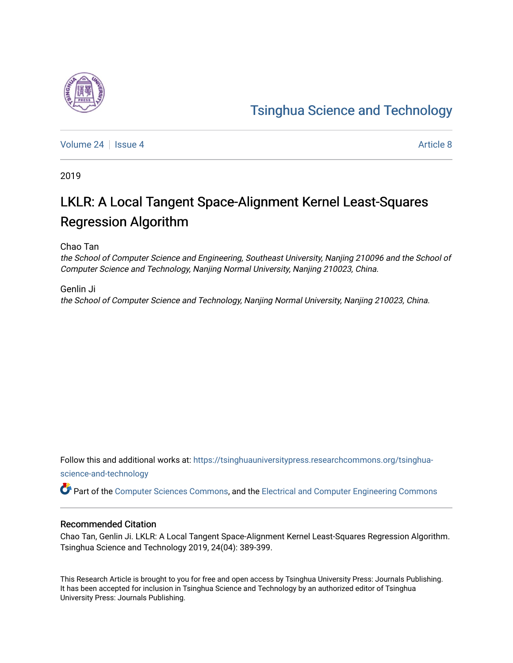# [Tsinghua Science and Technology](https://tsinghuauniversitypress.researchcommons.org/tsinghua-science-and-technology)

[Volume 24](https://tsinghuauniversitypress.researchcommons.org/tsinghua-science-and-technology/vol24) | [Issue 4](https://tsinghuauniversitypress.researchcommons.org/tsinghua-science-and-technology/vol24/iss4) [Article 8](https://tsinghuauniversitypress.researchcommons.org/tsinghua-science-and-technology/vol24/iss4/8) Article 8 Article 8 Article 8 Article 8 Article 8 Article 8 Article 8 Article 8

2019

# LKLR: A Local Tangent Space-Alignment Kernel Least-Squares Regression Algorithm

Chao Tan

the School of Computer Science and Engineering, Southeast University, Nanjing 210096 and the School of Computer Science and Technology, Nanjing Normal University, Nanjing 210023, China.

Genlin Ji the School of Computer Science and Technology, Nanjing Normal University, Nanjing 210023, China.

Follow this and additional works at: [https://tsinghuauniversitypress.researchcommons.org/tsinghua](https://tsinghuauniversitypress.researchcommons.org/tsinghua-science-and-technology?utm_source=tsinghuauniversitypress.researchcommons.org%2Ftsinghua-science-and-technology%2Fvol24%2Fiss4%2F8&utm_medium=PDF&utm_campaign=PDFCoverPages)[science-and-technology](https://tsinghuauniversitypress.researchcommons.org/tsinghua-science-and-technology?utm_source=tsinghuauniversitypress.researchcommons.org%2Ftsinghua-science-and-technology%2Fvol24%2Fiss4%2F8&utm_medium=PDF&utm_campaign=PDFCoverPages)

Part of the [Computer Sciences Commons](http://network.bepress.com/hgg/discipline/142?utm_source=tsinghuauniversitypress.researchcommons.org%2Ftsinghua-science-and-technology%2Fvol24%2Fiss4%2F8&utm_medium=PDF&utm_campaign=PDFCoverPages), and the [Electrical and Computer Engineering Commons](http://network.bepress.com/hgg/discipline/266?utm_source=tsinghuauniversitypress.researchcommons.org%2Ftsinghua-science-and-technology%2Fvol24%2Fiss4%2F8&utm_medium=PDF&utm_campaign=PDFCoverPages)

# Recommended Citation

Chao Tan, Genlin Ji. LKLR: A Local Tangent Space-Alignment Kernel Least-Squares Regression Algorithm. Tsinghua Science and Technology 2019, 24(04): 389-399.

This Research Article is brought to you for free and open access by Tsinghua University Press: Journals Publishing. It has been accepted for inclusion in Tsinghua Science and Technology by an authorized editor of Tsinghua University Press: Journals Publishing.

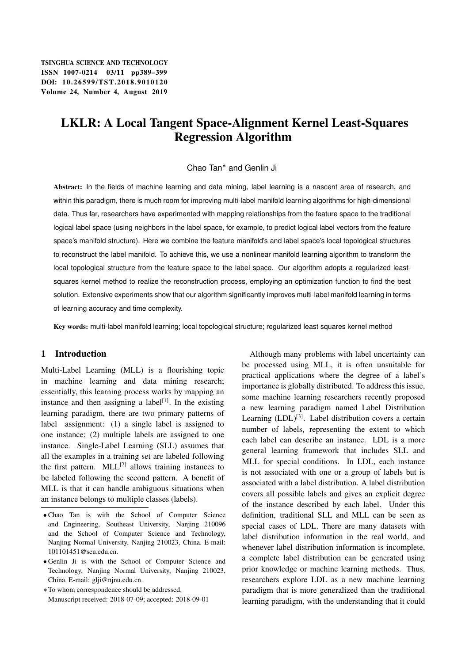TSINGHUA SCIENCE AND TECHNOLOGY ISSNll1007-0214 03/11 pp389–399 DOI: 10.26599/TST.2018.9010120 Volume 24, Number 4, August 2019

# LKLR: A Local Tangent Space-Alignment Kernel Least-Squares Regression Algorithm

#### Chao Tan\* and Genlin Ji

Abstract: In the fields of machine learning and data mining, label learning is a nascent area of research, and within this paradigm, there is much room for improving multi-label manifold learning algorithms for high-dimensional data. Thus far, researchers have experimented with mapping relationships from the feature space to the traditional logical label space (using neighbors in the label space, for example, to predict logical label vectors from the feature space's manifold structure). Here we combine the feature manifold's and label space's local topological structures to reconstruct the label manifold. To achieve this, we use a nonlinear manifold learning algorithm to transform the local topological structure from the feature space to the label space. Our algorithm adopts a regularized leastsquares kernel method to realize the reconstruction process, employing an optimization function to find the best solution. Extensive experiments show that our algorithm significantly improves multi-label manifold learning in terms of learning accuracy and time complexity.

Key words: multi-label manifold learning; local topological structure; regularized least squares kernel method

#### 1 Introduction

Multi-Label Learning (MLL) is a flourishing topic in machine learning and data mining research; essentially, this learning process works by mapping an instance and then assigning a label<sup>[1]</sup>. In the existing learning paradigm, there are two primary patterns of label assignment: (1) a single label is assigned to one instance; (2) multiple labels are assigned to one instance. Single-Label Learning (SLL) assumes that all the examples in a training set are labeled following the first pattern.  $MLL^{[2]}$  allows training instances to be labeled following the second pattern. A benefit of MLL is that it can handle ambiguous situations when an instance belongs to multiple classes (labels).

Although many problems with label uncertainty can be processed using MLL, it is often unsuitable for practical applications where the degree of a label's importance is globally distributed. To address this issue, some machine learning researchers recently proposed a new learning paradigm named Label Distribution Learning  $(LDL)^{[3]}$ . Label distribution covers a certain number of labels, representing the extent to which each label can describe an instance. LDL is a more general learning framework that includes SLL and MLL for special conditions. In LDL, each instance is not associated with one or a group of labels but is associated with a label distribution. A label distribution covers all possible labels and gives an explicit degree of the instance described by each label. Under this definition, traditional SLL and MLL can be seen as special cases of LDL. There are many datasets with label distribution information in the real world, and whenever label distribution information is incomplete, a complete label distribution can be generated using prior knowledge or machine learning methods. Thus, researchers explore LDL as a new machine learning paradigm that is more generalized than the traditional learning paradigm, with the understanding that it could

Chao Tan is with the School of Computer Science and Engineering, Southeast University, Nanjing 210096 and the School of Computer Science and Technology, Nanjing Normal University, Nanjing 210023, China. E-mail: 101101451@seu.edu.cn.

Genlin Ji is with the School of Computer Science and Technology, Nanjing Normal University, Nanjing 210023, China. E-mail: glji@njnu.edu.cn.

To whom correspondence should be addressed. Manuscript received: 2018-07-09; accepted: 2018-09-01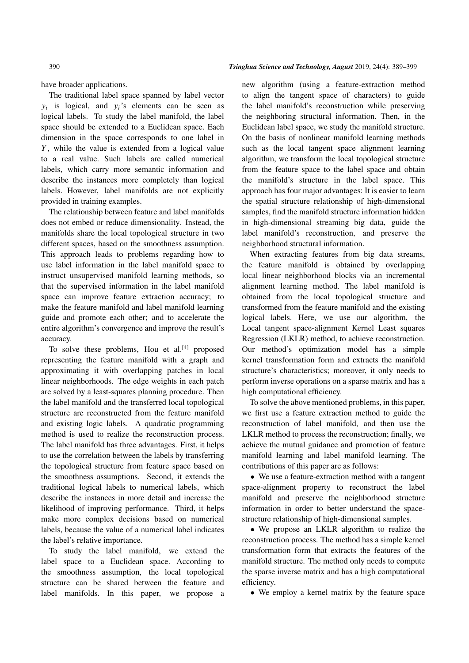have broader applications.

The traditional label space spanned by label vector  $y_i$  is logical, and  $y_i$ 's elements can be seen as logical labels. To study the label manifold, the label space should be extended to a Euclidean space. Each dimension in the space corresponds to one label in  $Y$ , while the value is extended from a logical value to a real value. Such labels are called numerical labels, which carry more semantic information and describe the instances more completely than logical labels. However, label manifolds are not explicitly provided in training examples.

The relationship between feature and label manifolds does not embed or reduce dimensionality. Instead, the manifolds share the local topological structure in two different spaces, based on the smoothness assumption. This approach leads to problems regarding how to use label information in the label manifold space to instruct unsupervised manifold learning methods, so that the supervised information in the label manifold space can improve feature extraction accuracy; to make the feature manifold and label manifold learning guide and promote each other; and to accelerate the entire algorithm's convergence and improve the result's accuracy.

To solve these problems, Hou et al.<sup>[4]</sup> proposed representing the feature manifold with a graph and approximating it with overlapping patches in local linear neighborhoods. The edge weights in each patch are solved by a least-squares planning procedure. Then the label manifold and the transferred local topological structure are reconstructed from the feature manifold and existing logic labels. A quadratic programming method is used to realize the reconstruction process. The label manifold has three advantages. First, it helps to use the correlation between the labels by transferring the topological structure from feature space based on the smoothness assumptions. Second, it extends the traditional logical labels to numerical labels, which describe the instances in more detail and increase the likelihood of improving performance. Third, it helps make more complex decisions based on numerical labels, because the value of a numerical label indicates the label's relative importance.

To study the label manifold, we extend the label space to a Euclidean space. According to the smoothness assumption, the local topological structure can be shared between the feature and label manifolds. In this paper, we propose a new algorithm (using a feature-extraction method to align the tangent space of characters) to guide the label manifold's reconstruction while preserving the neighboring structural information. Then, in the Euclidean label space, we study the manifold structure. On the basis of nonlinear manifold learning methods such as the local tangent space alignment learning algorithm, we transform the local topological structure from the feature space to the label space and obtain the manifold's structure in the label space. This approach has four major advantages: It is easier to learn the spatial structure relationship of high-dimensional samples, find the manifold structure information hidden in high-dimensional streaming big data, guide the label manifold's reconstruction, and preserve the neighborhood structural information.

When extracting features from big data streams, the feature manifold is obtained by overlapping local linear neighborhood blocks via an incremental alignment learning method. The label manifold is obtained from the local topological structure and transformed from the feature manifold and the existing logical labels. Here, we use our algorithm, the Local tangent space-alignment Kernel Least squares Regression (LKLR) method, to achieve reconstruction. Our method's optimization model has a simple kernel transformation form and extracts the manifold structure's characteristics; moreover, it only needs to perform inverse operations on a sparse matrix and has a high computational efficiency.

To solve the above mentioned problems, in this paper, we first use a feature extraction method to guide the reconstruction of label manifold, and then use the LKLR method to process the reconstruction; finally, we achieve the mutual guidance and promotion of feature manifold learning and label manifold learning. The contributions of this paper are as follows:

 We use a feature-extraction method with a tangent space-alignment property to reconstruct the label manifold and preserve the neighborhood structure information in order to better understand the spacestructure relationship of high-dimensional samples.

 We propose an LKLR algorithm to realize the reconstruction process. The method has a simple kernel transformation form that extracts the features of the manifold structure. The method only needs to compute the sparse inverse matrix and has a high computational efficiency.

We employ a kernel matrix by the feature space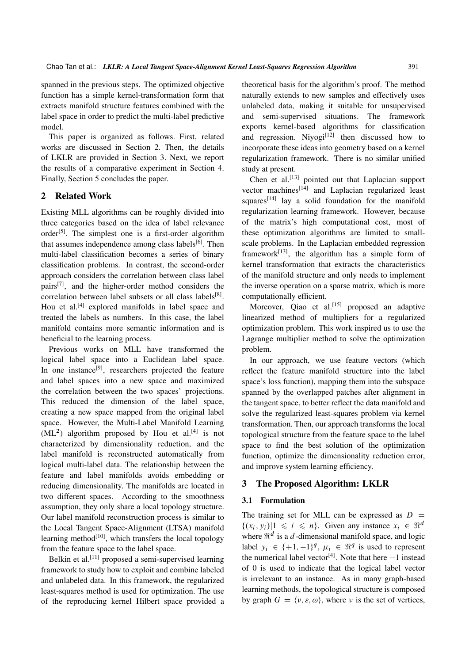spanned in the previous steps. The optimized objective function has a simple kernel-transformation form that extracts manifold structure features combined with the label space in order to predict the multi-label predictive model.

This paper is organized as follows. First, related works are discussed in Section 2. Then, the details of LKLR are provided in Section 3. Next, we report the results of a comparative experiment in Section 4. Finally, Section 5 concludes the paper.

#### 2 Related Work

Existing MLL algorithms can be roughly divided into three categories based on the idea of label relevance order<sup>[5]</sup>. The simplest one is a first-order algorithm that assumes independence among class labels $[6]$ . Then multi-label classification becomes a series of binary classification problems. In contrast, the second-order approach considers the correlation between class label pairs[7], and the higher-order method considers the correlation between label subsets or all class labels<sup>[8]</sup>. Hou et al.<sup>[4]</sup> explored manifolds in label space and treated the labels as numbers. In this case, the label manifold contains more semantic information and is beneficial to the learning process.

Previous works on MLL have transformed the logical label space into a Euclidean label space. In one instance<sup>[9]</sup>, researchers projected the feature and label spaces into a new space and maximized the correlation between the two spaces' projections. This reduced the dimension of the label space, creating a new space mapped from the original label space. However, the Multi-Label Manifold Learning  $(ML<sup>2</sup>)$  algorithm proposed by Hou et al.<sup>[4]</sup> is not characterized by dimensionality reduction, and the label manifold is reconstructed automatically from logical multi-label data. The relationship between the feature and label manifolds avoids embedding or reducing dimensionality. The manifolds are located in two different spaces. According to the smoothness assumption, they only share a local topology structure. Our label manifold reconstruction process is similar to the Local Tangent Space-Alignment (LTSA) manifold learning method $[10]$ , which transfers the local topology from the feature space to the label space.

Belkin et al.<sup>[11]</sup> proposed a semi-supervised learning framework to study how to exploit and combine labeled and unlabeled data. In this framework, the regularized least-squares method is used for optimization. The use of the reproducing kernel Hilbert space provided a theoretical basis for the algorithm's proof. The method naturally extends to new samples and effectively uses unlabeled data, making it suitable for unsupervised and semi-supervised situations. The framework exports kernel-based algorithms for classification and regression. Nivogi $[12]$  then discussed how to incorporate these ideas into geometry based on a kernel regularization framework. There is no similar unified study at present.

Chen et al.<sup>[13]</sup> pointed out that Laplacian support vector machines $\begin{bmatrix} 14 \end{bmatrix}$  and Laplacian regularized least squares $[14]$  lay a solid foundation for the manifold regularization learning framework. However, because of the matrix's high computational cost, most of these optimization algorithms are limited to smallscale problems. In the Laplacian embedded regression framework $[13]$ , the algorithm has a simple form of kernel transformation that extracts the characteristics of the manifold structure and only needs to implement the inverse operation on a sparse matrix, which is more computationally efficient.

Moreover, Qiao et al.<sup>[15]</sup> proposed an adaptive linearized method of multipliers for a regularized optimization problem. This work inspired us to use the Lagrange multiplier method to solve the optimization problem.

In our approach, we use feature vectors (which reflect the feature manifold structure into the label space's loss function), mapping them into the subspace spanned by the overlapped patches after alignment in the tangent space, to better reflect the data manifold and solve the regularized least-squares problem via kernel transformation. Then, our approach transforms the local topological structure from the feature space to the label space to find the best solution of the optimization function, optimize the dimensionality reduction error, and improve system learning efficiency.

#### 3 The Proposed Algorithm: LKLR

#### 3.1 Formulation

The training set for MLL can be expressed as  $D =$  $\{(x_i, y_i)|1 \le i \le n\}$ . Given any instance  $x_i \in \Re^d$ where  $\mathbb{R}^d$  is a d-dimensional manifold space, and logic label  $y_i \in \{+1, -1\}^q$ ,  $\mu_i \in \mathbb{R}^q$  is used to represent the numerical label vector<sup>[4]</sup>. Note that here  $-1$  instead of 0 is used to indicate that the logical label vector is irrelevant to an instance. As in many graph-based learning methods, the topological structure is composed by graph  $G = \langle v, \varepsilon, \omega \rangle$ , where v is the set of vertices,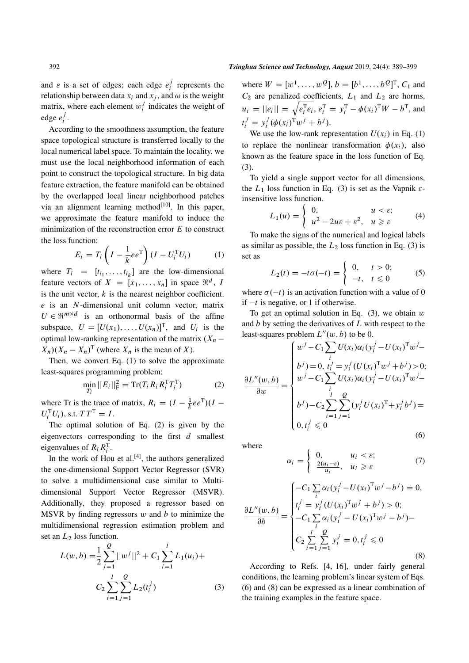and  $\varepsilon$  is a set of edges; each edge  $e_i^j$  $i$  represents the relationship between data  $x_i$  and  $x_j$ , and  $\omega$  is the weight matrix, where each element  $w_i^j$  $i$  indicates the weight of edge  $e_i^j$  $\frac{j}{i}$ .

According to the smoothness assumption, the feature space topological structure is transferred locally to the local numerical label space. To maintain the locality, we must use the local neighborhood information of each point to construct the topological structure. In big data feature extraction, the feature manifold can be obtained by the overlapped local linear neighborhood patches via an alignment learning method $[10]$ . In this paper, we approximate the feature manifold to induce the minimization of the reconstruction error  $E$  to construct the loss function:

$$
E_i = T_i \left( I - \frac{1}{k} e e^{\mathrm{T}} \right) (I - U_i^{\mathrm{T}} U_i)
$$
 (1)

where  $T_i = [t_{i_1}, \ldots, t_{i_k}]$  are the low-dimensional feature vectors of  $X = [x_1, \ldots, x_n]$  in space  $\mathfrak{R}^d$ , I is the unit vector,  $k$  is the nearest neighbor coefficient.  $e$  is an N-dimensional unit column vector, matrix  $U \in \mathbb{R}^{m \times d}$  is an orthonormal basis of the affine subspace,  $U = [U(x_1), \ldots, U(x_n)]^T$ , and  $U_i$  is the optimal low-ranking representation of the matrix  $(X_n \overline{X}_n$ )( $X_n - \overline{X}_n$ )<sup>T</sup> (where  $\overline{X}_n$  is the mean of X).

Then, we convert Eq. (1) to solve the approximate least-squares programming problem:

$$
\min_{T_i} ||E_i||_{\mathrm{F}}^2 = \mathrm{Tr}(T_i R_i R_i^{\mathrm{T}} T_i^{\mathrm{T}})
$$
\n(2)

where Tr is the trace of matrix,  $R_i = (I - \frac{1}{k}ee^{T})(I - \frac{1}{k}ee^{T})$  $U_i^{\rm T} U_i$ ), s.t.  $TT^{\rm T} = I$ .

The optimal solution of Eq. (2) is given by the eigenvectors corresponding to the first  $d$  smallest eigenvalues of  $R_i R_i^{\mathrm{T}}$ .

In the work of Hou et al. $[4]$ , the authors generalized the one-dimensional Support Vector Regressor (SVR) to solve a multidimensional case similar to Multidimensional Support Vector Regressor (MSVR). Additionally, they proposed a regressor based on MSVR by finding regressors  $w$  and  $b$  to minimize the multidimensional regression estimation problem and set an  $L_2$  loss function.

$$
L(w, b) = \frac{1}{2} \sum_{j=1}^{Q} ||w^{j}||^{2} + C_{1} \sum_{i=1}^{l} L_{1}(u_{i}) + C_{2} \sum_{i=1}^{l} \sum_{j=1}^{Q} L_{2}(t_{i}^{j})
$$
(3)

where  $W = [w^1, ..., w^Q], b = [b^1, ..., b^Q]^T, C_1$  and  $C_2$  are penalized coefficients,  $L_1$  and  $L_2$  are horms,  $u_i = ||e_i|| = \sqrt{e_i^{\mathrm{T}} e_i}, e_i^{\mathrm{T}} = y_i^{\mathrm{T}} - \phi(x_i)^{\mathrm{T}} W - b^{\mathrm{T}}$ , and  $t_i^j = y_i^j$  $i^j(\phi(x_i)^{\mathrm{T}}w^j+b^j).$ 

We use the low-rank representation  $U(x_i)$  in Eq. (1) to replace the nonlinear transformation  $\phi(x_i)$ , also known as the feature space in the loss function of Eq. (3).

To yield a single support vector for all dimensions, the  $L_1$  loss function in Eq. (3) is set as the Vapnik  $\varepsilon$ insensitive loss function.

$$
L_1(u) = \begin{cases} 0, & u < \varepsilon; \\ u^2 - 2u\varepsilon + \varepsilon^2, & u \geqslant \varepsilon \end{cases}
$$
 (4)

To make the signs of the numerical and logical labels as similar as possible, the  $L_2$  loss function in Eq. (3) is set as

$$
L_2(t) = -t\sigma(-t) = \begin{cases} 0, & t > 0; \\ -t, & t \le 0 \end{cases}
$$
 (5)

where  $\sigma(-t)$  is an activation function with a value of 0 if  $-t$  is negative, or 1 if otherwise.

To get an optimal solution in Eq.  $(3)$ , we obtain w and  $b$  by setting the derivatives of  $L$  with respect to the least-squares problem  $L''(w, b)$  to be 0.

$$
\frac{\partial L''(w,b)}{\partial w} = \begin{cases}\nw^j - C_1 \sum_i U(x_i) \alpha_i (y_i^j - U(x_i)^T w^j - \\ b^j) = 0, t_i^j = y_i^j (U(x_i)^T w^j + b^j) > 0; \\
w^j - C_1 \sum_i U(x_i) \alpha_i (y_i^j - U(x_i)^T w^j - \\ b^j) - C_2 \sum_{i=1}^l \sum_{j=1}^Q (y_i^j U(x_i)^T + y_i^j b^j) = \\ 0, t_i^j \leq 0\n\end{cases}
$$
\n(6)

where

$$
\alpha_i = \begin{cases} 0, & u_i < \varepsilon; \\ \frac{2(u_i - \varepsilon)}{u_i}, & u_i \geqslant \varepsilon \end{cases}
$$
 (7)

$$
\frac{\partial L''(w,b)}{\partial b} = \begin{cases}\n-C_1 \sum_i \alpha_i (y_i^j - U(x_i)^T w^j - b^j) = 0, \\
t_i^j = y_i^j (U(x_i)^T w^j + b^j) > 0; \\
-C_1 \sum_i \alpha_i (y_i^j - U(x_i)^T w^j - b^j) - \\
C_2 \sum_{i=1}^l \sum_{j=1}^l y_i^j = 0, t_i^j \le 0\n\end{cases}
$$
\n(8)

According to Refs. [4, 16], under fairly general conditions, the learning problem's linear system of Eqs. (6) and (8) can be expressed as a linear combination of the training examples in the feature space.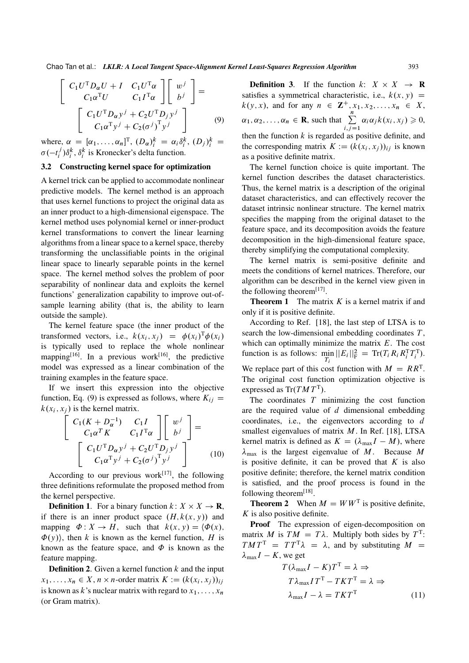$$
\begin{bmatrix}\nC_1 U^{\mathrm{T}} D_{\alpha} U + I & C_1 U^{\mathrm{T}} \alpha \\
C_1 \alpha^{\mathrm{T}} U & C_1 I^{\mathrm{T}} \alpha\n\end{bmatrix}\n\begin{bmatrix}\nw^j \\
b^j\n\end{bmatrix} = \begin{bmatrix}\nC_1 U^{\mathrm{T}} D_{\alpha} y^j + C_2 U^{\mathrm{T}} D_j y^j \\
C_1 \alpha^{\mathrm{T}} y^j + C_2 (\sigma^j)^{\mathrm{T}} y^j\n\end{bmatrix}
$$
\n(9)

where,  $\alpha = [\alpha_1, \dots, \alpha_n]^T$ ,  $(D_\alpha)_i^k = \alpha_i \delta_i^k$ ,  $(D_j)_i^k =$  $\sigma(-t_i^j)$  $i_j^j$ ) $\delta_i^k$ ,  $\delta_i^k$  is Kronecker's delta function.

## 3.2 Constructing kernel space for optimization

A kernel trick can be applied to accommodate nonlinear predictive models. The kernel method is an approach that uses kernel functions to project the original data as an inner product to a high-dimensional eigenspace. The kernel method uses polynomial kernel or inner-product kernel transformations to convert the linear learning algorithms from a linear space to a kernel space, thereby transforming the unclassifiable points in the original linear space to linearly separable points in the kernel space. The kernel method solves the problem of poor separability of nonlinear data and exploits the kernel functions' generalization capability to improve out-ofsample learning ability (that is, the ability to learn outside the sample).

The kernel feature space (the inner product of the transformed vectors, i.e.,  $k(x_i, x_j) = \phi(x_i)^T \phi(x_i)$ is typically used to replace the whole nonlinear mapping<sup>[16]</sup>. In a previous work<sup>[16]</sup>, the predictive model was expressed as a linear combination of the training examples in the feature space.

If we insert this expression into the objective function, Eq. (9) is expressed as follows, where  $K_{ij} =$  $k(x_i, x_j)$  is the kernel matrix.

$$
\begin{bmatrix}\nC_1(K+D_{\alpha}^{-1}) & C_1I \\
C_1\alpha^TK & C_1I^T\alpha\n\end{bmatrix}\n\begin{bmatrix}\nw^j \\
b^j\n\end{bmatrix} =\n\begin{bmatrix}\nC_1U^T D_{\alpha}y^j + C_2U^T D_jy^j \\
C_1\alpha^Ty^j + C_2(\sigma^j)^Ty^j\n\end{bmatrix}
$$
\n(10)

According to our previous work $[17]$ , the following three definitions reformulate the proposed method from the kernel perspective.

**Definition 1.** For a binary function  $k: X \times X \rightarrow \mathbb{R}$ , if there is an inner product space  $(H, k(x, y))$  and mapping  $\Phi: X \to H$ , such that  $k(x, y) = \Phi(x)$ ,  $\Phi(y)$ , then k is known as the kernel function, H is known as the feature space, and  $\Phi$  is known as the feature mapping.

**Definition 2.** Given a kernel function  $k$  and the input  $x_1, \ldots, x_n \in X, n \times n$ -order matrix  $K := (k(x_i, x_j))_{ij}$ is known as k's nuclear matrix with regard to  $x_1, \ldots, x_n$ (or Gram matrix).

**Definition 3.** If the function  $k: X \times X \rightarrow \mathbb{R}$ satisfies a symmetrical characteristic, i.e.,  $k(x, y)$  =  $k(y, x)$ , and for any  $n \in \mathbb{Z}^+, x_1, x_2, \ldots, x_n \in X$ ,  $\alpha_1, \alpha_2, \ldots, \alpha_n \in \mathbf{R}$ , such that  $\sum_{n=1}^n$  $i,\overline{j=1}$  $\alpha_i \alpha_j k(x_i, x_j) \geqslant 0,$ then the function  $k$  is regarded as positive definite, and the corresponding matrix  $K := (k(x_i, x_j))_{ij}$  is known as a positive definite matrix.

The kernel function choice is quite important. The kernel function describes the dataset characteristics. Thus, the kernel matrix is a description of the original dataset characteristics, and can effectively recover the dataset intrinsic nonlinear structure. The kernel matrix specifies the mapping from the original dataset to the feature space, and its decomposition avoids the feature decomposition in the high-dimensional feature space, thereby simplifying the computational complexity.

The kernel matrix is semi-positive definite and meets the conditions of kernel matrices. Therefore, our algorithm can be described in the kernel view given in the following theorem $^{[17]}$ .

**Theorem 1** The matrix  $K$  is a kernel matrix if and only if it is positive definite.

According to Ref. [18], the last step of LTSA is to search the low-dimensional embedding coordinates  $T$ . which can optimally minimize the matrix  $E$ . The cost function is as follows:  $\min_{T_i} ||E_i||_F^2 = \text{Tr}(T_i R_i R_i^T T_i^T).$ We replace part of this cost function with  $M = RR^{T}$ . The original cost function optimization objective is expressed as  $Tr(TMT^{T}).$ 

The coordinates  $T$  minimizing the cost function are the required value of  $d$  dimensional embedding coordinates, i.e., the eigenvectors according to d smallest eigenvalues of matrix  $M$ . In Ref. [18], LTSA kernel matrix is defined as  $K = (\lambda_{\text{max}}I - M)$ , where  $\lambda_{\text{max}}$  is the largest eigenvalue of M. Because M is positive definite, it can be proved that  $K$  is also positive definite; therefore, the kernel matrix condition is satisfied, and the proof process is found in the following theorem<sup>[18]</sup>.

**Theorem 2** When  $M = WW<sup>T</sup>$  is positive definite,  $K$  is also positive definite.

Proof The expression of eigen-decomposition on matrix M is  $TM = T\lambda$ . Multiply both sides by  $T^T$ :  $TMT^{\mathrm{T}} = TT^{\mathrm{T}}\lambda = \lambda$ , and by substituting  $M =$  $\lambda_{\text{max}}I - K$ , we get

$$
T(\lambda_{\max}I - K)T^{T} = \lambda \Rightarrow
$$
  
\n
$$
T\lambda_{\max}IT^{T} - TKT^{T} = \lambda \Rightarrow
$$
  
\n
$$
\lambda_{\max}I - \lambda = TKT^{T}
$$
 (11)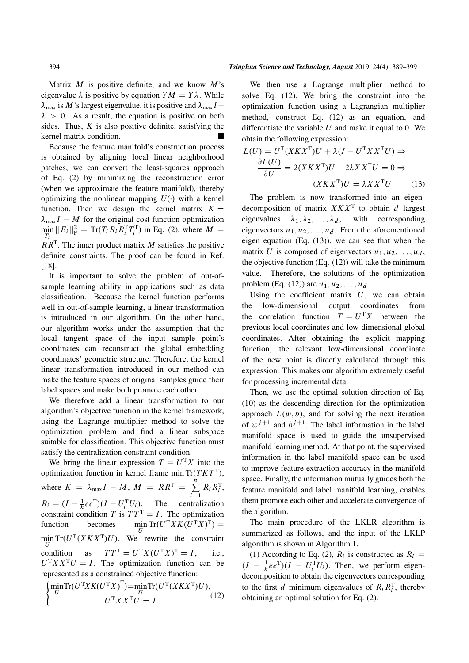Matrix  $M$  is positive definite, and we know  $M$ 's eigenvalue  $\lambda$  is positive by equation  $YM = Y\lambda$ . While  $\lambda_{\text{max}}$  is M's largest eigenvalue, it is positive and  $\lambda_{\text{max}}I$  –  $\lambda > 0$ . As a result, the equation is positive on both sides. Thus,  $K$  is also positive definite, satisfying the kernel matrix condition.

Because the feature manifold's construction process is obtained by aligning local linear neighborhood patches, we can convert the least-squares approach of Eq. (2) by minimizing the reconstruction error (when we approximate the feature manifold), thereby optimizing the nonlinear mapping  $U(\cdot)$  with a kernel function. Then we design the kernel matrix  $K =$  $\lambda_{\text{max}}I - M$  for the original cost function optimization  $\min_{T_i} ||E_i||_{\text{F}}^2 = \text{Tr}(T_i R_i R_i^{\text{T}} T_i^{\text{T}})$  in Eq. (2), where  $M =$  $RR<sup>T</sup>$ . The inner product matrix M satisfies the positive definite constraints. The proof can be found in Ref. [18].

It is important to solve the problem of out-ofsample learning ability in applications such as data classification. Because the kernel function performs well in out-of-sample learning, a linear transformation is introduced in our algorithm. On the other hand, our algorithm works under the assumption that the local tangent space of the input sample point's coordinates can reconstruct the global embedding coordinates' geometric structure. Therefore, the kernel linear transformation introduced in our method can make the feature spaces of original samples guide their label spaces and make both promote each other.

We therefore add a linear transformation to our algorithm's objective function in the kernel framework, using the Lagrange multiplier method to solve the optimization problem and find a linear subspace suitable for classification. This objective function must satisfy the centralization constraint condition.

We bring the linear expression  $T = U<sup>T</sup> X$  into the optimization function in kernel frame min  $Tr(TKT^{T}),$ where  $K = \lambda_{\text{max}}I - M$ ,  $M = RR^{\text{T}} = \sum_{k=1}^{n}$  $\overline{i=1}$  $R_i R_i^{\mathrm{T}},$  $R_i = (I - \frac{1}{k}ee^T)(I - U_i^TU_i)$ . The centralization constraint condition T is  $TT^T = I$ . The optimization function becomes U  $\text{Tr}(U^{\text{T}} X K (U^{\text{T}} X)^{\text{T}}) =$  $\min_{U} \text{Tr}(U^{\text{T}}(X K X^{\text{T}}) U)$ . We rewrite the constraint condition as  $TT^T = U^T X (U^T X)^T = I$ , i.e.,  $U<sup>T</sup> X X<sup>T</sup> U = I$ . The optimization function can be represented as a constrained objective function:

$$
\begin{cases}\n\min_{U} \text{Tr}(U^{\text{T}} X K (U^{\text{T}} X)^{\text{T}}) = \min_{U} \text{Tr}(U^{\text{T}} (X K X^{\text{T}}) U), \\
U^{\text{T}} X X^{\text{T}} U = I\n\end{cases}
$$
\n(12)

We then use a Lagrange multiplier method to solve Eq. (12). We bring the constraint into the optimization function using a Lagrangian multiplier method, construct Eq. (12) as an equation, and differentiate the variable  $U$  and make it equal to 0. We obtain the following expression:

$$
L(U) = U^{T}(X K X^{T}) U + \lambda (I - U^{T} X X^{T} U) \Rightarrow
$$

$$
\frac{\partial L(U)}{\partial U} = 2(X K X^{T}) U - 2\lambda X X^{T} U = 0 \Rightarrow
$$

$$
(X K X^{T}) U = \lambda X X^{T} U \qquad (13)
$$

The problem is now transformed into an eigendecomposition of matrix  $X K X<sup>T</sup>$  to obtain d largest eigenvalues  $\lambda_1, \lambda_2, \ldots, \lambda_d$ , with corresponding eigenvectors  $u_1, u_2, \ldots, u_d$ . From the aforementioned eigen equation (Eq. (13)), we can see that when the matrix U is composed of eigenvectors  $u_1, u_2, \ldots, u_d$ , the objective function  $(Eq. (12))$  will take the minimum value. Therefore, the solutions of the optimization problem (Eq. (12)) are  $u_1, u_2, \ldots, u_d$ .

Using the coefficient matrix  $U$ , we can obtain the low-dimensional output coordinates from the correlation function  $T = U<sup>T</sup> X$  between the previous local coordinates and low-dimensional global coordinates. After obtaining the explicit mapping function, the relevant low-dimensional coordinate of the new point is directly calculated through this expression. This makes our algorithm extremely useful for processing incremental data.

Then, we use the optimal solution direction of Eq. (10) as the descending direction for the optimization approach  $L(w, b)$ , and for solving the next iteration of  $w^{j+1}$  and  $b^{j+1}$ . The label information in the label manifold space is used to guide the unsupervised manifold learning method. At that point, the supervised information in the label manifold space can be used to improve feature extraction accuracy in the manifold space. Finally, the information mutually guides both the feature manifold and label manifold learning, enables them promote each other and accelerate convergence of the algorithm.

The main procedure of the LKLR algorithm is summarized as follows, and the input of the LKLP algorithm is shown in Algorithm 1.

(1) According to Eq. (2),  $R_i$  is constructed as  $R_i =$  $(I - \frac{1}{k}ee^{T})(I - U_i^{T}U_i)$ . Then, we perform eigendecomposition to obtain the eigenvectors corresponding to the first d minimum eigenvalues of  $R_i R_i^T$ , thereby obtaining an optimal solution for Eq. (2).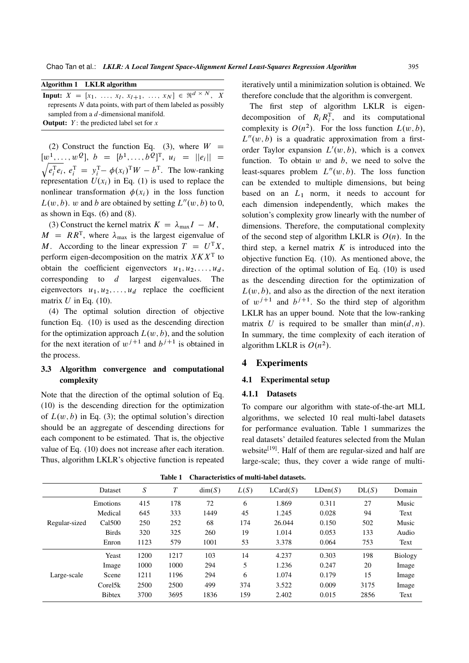| Algorithm 1 |  | <b>LKLR</b> algorithm |
|-------------|--|-----------------------|
|-------------|--|-----------------------|

| <b>Input:</b> $X = [x_1, , x_l, x_{l+1}, , x_N] \in \Re^{d \times N}, X$ |
|--------------------------------------------------------------------------|
| represents $N$ data points, with part of them labeled as possibly        |
| sampled from a $d$ -dimensional manifold.                                |
| <b>Output:</b> $Y$ : the predicted label set for x                       |

(2) Construct the function Eq. (3), where  $W =$  $[w^1, \ldots, w^Q], b = [b^1, \ldots, b^Q]^T, u_i = ||e_i|| =$  $\sqrt{e_i^{\text{T}}e_i}$ ,  $e_i^{\text{T}} = y_i^{\text{T}} - \phi(x_i)^{\text{T}}W - b^{\text{T}}$ . The low-ranking representation  $U(x_i)$  in Eq. (1) is used to replace the nonlinear transformation  $\phi(x_i)$  in the loss function  $L(w, b)$ . w and b are obtained by setting  $L''(w, b)$  to 0, as shown in Eqs.  $(6)$  and  $(8)$ .

(3) Construct the kernel matrix  $K = \lambda_{\text{max}}I - M$ ,  $M = RR^{T}$ , where  $\lambda_{\text{max}}$  is the largest eigenvalue of M. According to the linear expression  $T = U^{\mathrm{T}}X$ , perform eigen-decomposition on the matrix  $X K X<sup>T</sup>$  to obtain the coefficient eigenvectors  $u_1, u_2, \ldots, u_d$ , corresponding to  $d$  largest eigenvalues. The eigenvectors  $u_1, u_2, \ldots, u_d$  replace the coefficient matrix  $U$  in Eq. (10).

(4) The optimal solution direction of objective function Eq. (10) is used as the descending direction for the optimization approach  $L(w, b)$ , and the solution for the next iteration of  $w^{j+1}$  and  $b^{j+1}$  is obtained in the process.

# 3.3 Algorithm convergence and computational complexity

Note that the direction of the optimal solution of Eq. (10) is the descending direction for the optimization of  $L(w, b)$  in Eq. (3); the optimal solution's direction should be an aggregate of descending directions for each component to be estimated. That is, the objective value of Eq. (10) does not increase after each iteration. Thus, algorithm LKLR's objective function is repeated iteratively until a minimization solution is obtained. We therefore conclude that the algorithm is convergent.

The first step of algorithm LKLR is eigendecomposition of  $R_i R_i^{\text{T}}$ , and its computational complexity is  $O(n^2)$ . For the loss function  $L(w, b)$ ,  $L''(w, b)$  is a quadratic approximation from a firstorder Taylor expansion  $L'(w, b)$ , which is a convex function. To obtain  $w$  and  $b$ , we need to solve the least-squares problem  $L''(w, b)$ . The loss function can be extended to multiple dimensions, but being based on an  $L_1$  norm, it needs to account for each dimension independently, which makes the solution's complexity grow linearly with the number of dimensions. Therefore, the computational complexity of the second step of algorithm LKLR is  $O(n)$ . In the third step, a kernel matrix  $K$  is introduced into the objective function Eq. (10). As mentioned above, the direction of the optimal solution of Eq. (10) is used as the descending direction for the optimization of  $L(w, b)$ , and also as the direction of the next iteration of  $w^{j+1}$  and  $b^{j+1}$ . So the third step of algorithm LKLR has an upper bound. Note that the low-ranking matrix U is required to be smaller than  $\min(d, n)$ . In summary, the time complexity of each iteration of algorithm LKLR is  $O(n^2)$ .

#### 4 Experiments

#### 4.1 Experimental setup

#### 4.1.1 Datasets

To compare our algorithm with state-of-the-art MLL algorithms, we selected 10 real multi-label datasets for performance evaluation. Table 1 summarizes the real datasets' detailed features selected from the Mulan website<sup>[19]</sup>. Half of them are regular-sized and half are large-scale; thus, they cover a wide range of multi-

|               |               |      | таріс 1 | Спагасіствися от піши-тарсі цатаясія. |      |          |         |       |         |
|---------------|---------------|------|---------|---------------------------------------|------|----------|---------|-------|---------|
|               | Dataset       | S    | Т       | dim(S)                                | L(S) | LCard(S) | LDen(S) | DL(S) | Domain  |
|               | Emotions      | 415  | 178     | 72                                    | 6    | 1.869    | 0.311   | 27    | Music   |
|               | Medical       | 645  | 333     | 1449                                  | 45   | 1.245    | 0.028   | 94    | Text    |
| Regular-sized | Cal500        | 250  | 252     | 68                                    | 174  | 26.044   | 0.150   | 502   | Music   |
|               | <b>Birds</b>  | 320  | 325     | 260                                   | 19   | 1.014    | 0.053   | 133   | Audio   |
|               | Enron         | 1123 | 579     | 1001                                  | 53   | 3.378    | 0.064   | 753   | Text    |
|               | Yeast         | 1200 | 1217    | 103                                   | 14   | 4.237    | 0.303   | 198   | Biology |
|               | Image         | 1000 | 1000    | 294                                   | 5    | 1.236    | 0.247   | 20    | Image   |
| Large-scale   | Scene         | 1211 | 1196    | 294                                   | 6    | 1.074    | 0.179   | 15    | Image   |
|               | Corel5k       | 2500 | 2500    | 499                                   | 374  | 3.522    | 0.009   | 3175  | Image   |
|               | <b>Bibtex</b> | 3700 | 3695    | 1836                                  | 159  | 2.402    | 0.015   | 2856  | Text    |
|               |               |      |         |                                       |      |          |         |       |         |

Table 1 Characteristics of multi-label datasets.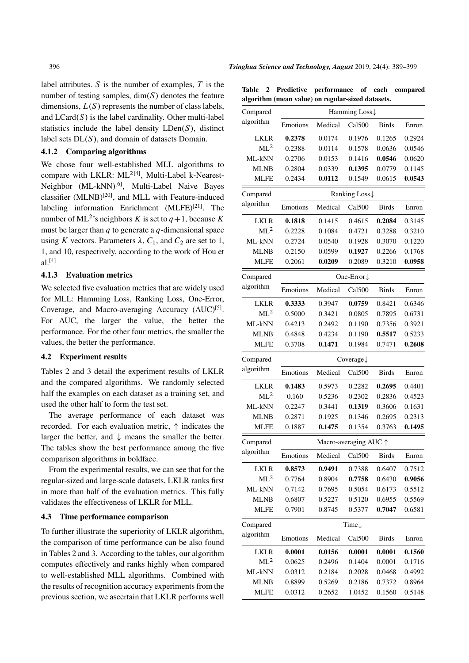label attributes.  $S$  is the number of examples,  $T$  is the number of testing samples,  $dim(S)$  denotes the feature dimensions,  $L(S)$  represents the number of class labels, and  $LCard(S)$  is the label cardinality. Other multi-label statistics include the label density  $LDen(S)$ , distinct label sets  $DL(S)$ , and domain of datasets Domain.

# 4.1.2 Comparing algorithms

We chose four well-established MLL algorithms to compare with LKLR: ML<sup>2[4]</sup>, Multi-Label k-Nearest-Neighbor (ML-kNN)[6], Multi-Label Naive Bayes classifier  $(MLNB)^{[20]}$ , and MLL with Feature-induced labeling information Enrichment  $(MLFE)^{[21]}$ . The number of ML<sup>2</sup>'s neighbors K is set to  $q+1$ , because K must be larger than  $q$  to generate a  $q$ -dimensional space using K vectors. Parameters  $\lambda$ ,  $C_1$ , and  $C_2$  are set to 1, 1, and 10, respectively, according to the work of Hou et  $a^{1[4]}$ 

### 4.1.3 Evaluation metrics

We selected five evaluation metrics that are widely used for MLL: Hamming Loss, Ranking Loss, One-Error, Coverage, and Macro-averaging Accuracy (AUC)<sup>[5]</sup>. For AUC, the larger the value, the better the performance. For the other four metrics, the smaller the values, the better the performance.

### 4.2 Experiment results

Tables 2 and 3 detail the experiment results of LKLR and the compared algorithms. We randomly selected half the examples on each dataset as a training set, and used the other half to form the test set.

The average performance of each dataset was recorded. For each evaluation metric,  $\uparrow$  indicates the larger the better, and  $\downarrow$  means the smaller the better. The tables show the best performance among the five comparison algorithms in boldface.

From the experimental results, we can see that for the regular-sized and large-scale datasets, LKLR ranks first in more than half of the evaluation metrics. This fully validates the effectiveness of LKLR for MLL.

#### 4.3 Time performance comparison

To further illustrate the superiority of LKLR algorithm, the comparison of time performance can be also found in Tables 2 and 3. According to the tables, our algorithm computes effectively and ranks highly when compared to well-established MLL algorithms. Combined with the results of recognition accuracy experiments from the previous section, we ascertain that LKLR performs well

Table 2 Predictive performance of each compared algorithm (mean value) on regular-sized datasets.

| Compared        | Hamming Loss↓         |         |                                |              |        |
|-----------------|-----------------------|---------|--------------------------------|--------------|--------|
| algorithm       | Emotions              | Medical | Cal500                         | <b>Birds</b> | Enron  |
| <b>LKLR</b>     | 0.2378                | 0.0174  | 0.1976                         | 0.1265       | 0.2924 |
| ML <sup>2</sup> | 0.2388                | 0.0114  | 0.1578                         | 0.0636       | 0.0546 |
| ML-kNN          | 0.2706                | 0.0153  | 0.1416                         | 0.0546       | 0.0620 |
| <b>MLNB</b>     | 0.2804                | 0.0339  | 0.1395                         | 0.0779       | 0.1145 |
| <b>MLFE</b>     | 0.2434                | 0.0112  | 0.1549                         | 0.0615       | 0.0543 |
| Compared        |                       |         | Ranking Loss↓                  |              |        |
| algorithm       | Emotions              | Medical | Cal500                         | <b>Birds</b> | Enron  |
| <b>LKLR</b>     | 0.1818                | 0.1415  | 0.4615                         | 0.2084       | 0.3145 |
| ML <sup>2</sup> | 0.2228                | 0.1084  | 0.4721                         | 0.3288       | 0.3210 |
| ML-kNN          | 0.2724                | 0.0540  | 0.1928                         | 0.3070       | 0.1220 |
| <b>MLNB</b>     | 0.2150                | 0.0599  | 0.1927                         | 0.2266       | 0.1768 |
| <b>MLFE</b>     | 0.2061                | 0.0209  | 0.2089                         | 0.3210       | 0.0958 |
| Compared        |                       |         | One-Error $\downarrow$         |              |        |
| algorithm       | Emotions              | Medical | Ca1500                         | <b>Birds</b> | Enron  |
| <b>LKLR</b>     | 0.3333                | 0.3947  | 0.0759                         | 0.8421       | 0.6346 |
| ML <sup>2</sup> | 0.5000                | 0.3421  | 0.0805                         | 0.7895       | 0.6731 |
| ML-kNN          | 0.4213                | 0.2492  | 0.1190                         | 0.7356       | 0.3921 |
| <b>MLNB</b>     | 0.4848                | 0.4234  | 0.1190                         | 0.5517       | 0.5233 |
| <b>MLFE</b>     | 0.3708                | 0.1471  | 0.1984                         | 0.7471       | 0.2608 |
| Compared        | Coverage $\downarrow$ |         |                                |              |        |
| algorithm       | Emotions              | Medical | Cal500                         | <b>Birds</b> | Enron  |
| <b>LKLR</b>     | 0.1483                | 0.5973  | 0.2282                         | 0.2695       | 0.4401 |
| ML <sup>2</sup> | 0.160                 | 0.5236  | 0.2302                         | 0.2836       | 0.4523 |
| ML-kNN          | 0.2247                | 0.3441  | 0.1319                         | 0.3606       | 0.1631 |
| <b>MLNB</b>     | 0.2871                | 0.1925  | 0.1346                         | 0.2695       | 0.2313 |
| <b>MLFE</b>     | 0.1887                | 0.1475  | 0.1354                         | 0.3763       | 0.1495 |
| Compared        |                       |         | Macro-averaging AUC $\uparrow$ |              |        |
| algorithm       | Emotions              | Medical | Cal500                         | Birds        | Enron  |
| LKLR            | 0.8573                | 0.9491  | 0.7388                         | 0.6407       | 0.7512 |
| ML <sup>2</sup> | 0.7764                | 0.8904  | 0.7758                         | 0.6430       | 0.9056 |
| ML-kNN          | 0.7142                | 0.7695  | 0.5054                         | 0.6173       | 0.5512 |
| <b>MLNB</b>     | 0.6807                | 0.5227  | 0.5120                         | 0.6955       | 0.5569 |
| <b>MLFE</b>     | 0.7901                | 0.8745  | 0.5377                         | 0.7047       | 0.6581 |
| Compared        |                       |         | Time $\downarrow$              |              |        |
| algorithm       | Emotions              | Medical | Cal500                         | <b>Birds</b> | Enron  |
| <b>LKLR</b>     | 0.0001                | 0.0156  | 0.0001                         | 0.0001       | 0.1560 |
| ML <sup>2</sup> | 0.0625                | 0.2496  | 0.1404                         | 0.0001       | 0.1716 |
| ML-kNN          | 0.0312                | 0.2184  | 0.2028                         | 0.0468       | 0.4992 |
| <b>MLNB</b>     | 0.8899                | 0.5269  | 0.2186                         | 0.7372       | 0.8964 |
| <b>MLFE</b>     | 0.0312                | 0.2652  | 1.0452                         | 0.1560       | 0.5148 |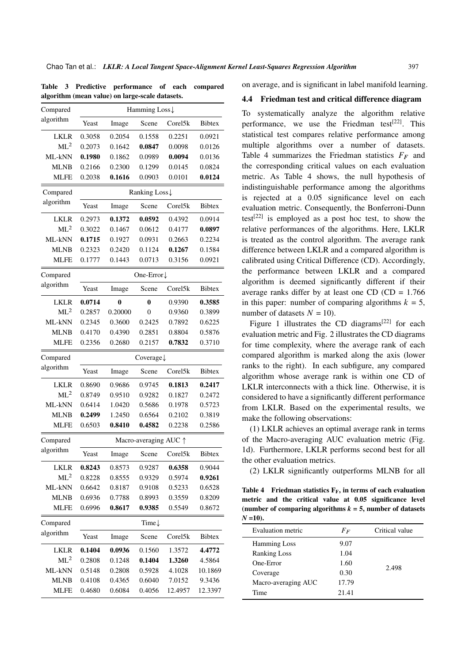|  | Table 3 Predictive performance of each compared |  |  |
|--|-------------------------------------------------|--|--|
|  | algorithm (mean value) on large-scale datasets. |  |  |

| Compared        | Hamming Loss↓ |                       |                   |         |               |  |
|-----------------|---------------|-----------------------|-------------------|---------|---------------|--|
| algorithm       | Yeast         | Image                 | Scene             | Corel5k | <b>Bibtex</b> |  |
| <b>LKLR</b>     | 0.3058        | 0.2054                | 0.1558            | 0.2251  | 0.0921        |  |
| ML <sup>2</sup> | 0.2073        | 0.1642                | 0.0847            | 0.0098  | 0.0126        |  |
| ML-kNN          | 0.1980        | 0.1862                | 0.0989            | 0.0094  | 0.0136        |  |
| <b>MLNB</b>     | 0.2166        | 0.2300                | 0.1299            | 0.0145  | 0.0824        |  |
| <b>MLFE</b>     | 0.2038        | 0.1616                | 0.0903            | 0.0101  | 0.0124        |  |
| Compared        |               |                       | Ranking Loss↓     |         |               |  |
| algorithm       | Yeast         | Image                 | Scene             | Corel5k | <b>Bibtex</b> |  |
| LKLR            | 0.2973        | 0.1372                | 0.0592            | 0.4392  | 0.0914        |  |
| ML <sup>2</sup> | 0.3022        | 0.1467                | 0.0612            | 0.4177  | 0.0897        |  |
| ML-kNN          | 0.1715        | 0.1927                | 0.0931            | 0.2663  | 0.2234        |  |
| <b>MLNB</b>     | 0.2323        | 0.2420                | 0.1124            | 0.1267  | 0.1584        |  |
| MLFE            | 0.1777        | 0.1443                | 0.0713            | 0.3156  | 0.0921        |  |
| Compared        |               |                       | One-Error↓        |         |               |  |
| algorithm       | Yeast         | Image                 | Scene             | Corel5k | <b>Bibtex</b> |  |
| <b>LKLR</b>     | 0.0714        | 0                     | $\bf{0}$          | 0.9390  | 0.3585        |  |
| ML <sup>2</sup> | 0.2857        | 0.20000               | $\theta$          | 0.9360  | 0.3899        |  |
| ML-kNN          | 0.2345        | 0.3600                | 0.2425            | 0.7892  | 0.6225        |  |
| <b>MLNB</b>     | 0.4170        | 0.4390                | 0.2851            | 0.8804  | 0.5876        |  |
| <b>MLFE</b>     | 0.2356        | 0.2680                | 0.2157            | 0.7832  | 0.3710        |  |
| Compared        |               |                       | Coverage↓         |         |               |  |
| algorithm       | Yeast         | Image                 | Scene             | Corel5k | <b>Bibtex</b> |  |
| <b>LKLR</b>     | 0.8690        | 0.9686                | 0.9745            | 0.1813  | 0.2417        |  |
| ML <sup>2</sup> | 0.8749        | 0.9510                | 0.9282            | 0.1827  | 0.2472        |  |
| ML-kNN          | 0.6414        | 1.0420                | 0.5686            | 0.1978  | 0.5723        |  |
| <b>MLNB</b>     | 0.2499        | 1.2450                | 0.6564            | 0.2102  | 0.3819        |  |
| <b>MLFE</b>     | 0.6503        | 0.8410                | 0.4582            | 0.2238  | 0.2586        |  |
| Compared        |               | Macro-averaging AUC \ |                   |         |               |  |
| algorithm       | Yeast         | Image                 | Scene             | Corel5k | <b>Bibtex</b> |  |
| <b>LKLR</b>     | 0.8243        | 0.8573                | 0.9287            | 0.6358  | 0.9044        |  |
| ML <sup>2</sup> | 0.8228        | 0.8555                | 0.9329            | 0.5974  | 0.9261        |  |
| ML-kNN          | 0.6642        | 0.8187                | 0.9108            | 0.5233  | 0.6528        |  |
| <b>MLNB</b>     | 0.6936        | 0.7788                | 0.8993            | 0.3559  | 0.8209        |  |
| <b>MLFE</b>     | 0.6996        | 0.8617                | 0.9385            | 0.5549  | 0.8672        |  |
| Compared        |               |                       | Time $\downarrow$ |         |               |  |
| algorithm       | Yeast         | Image                 | Scene             | Corel5k | Bibtex        |  |
| <b>LKLR</b>     | 0.1404        | 0.0936                | 0.1560            | 1.3572  | 4.4772        |  |
| $ML^2$          | 0.2808        | 0.1248                | 0.1404            | 1.3260  | 4.5864        |  |
| ML-kNN          | 0.5148        | 0.2808                | 0.5928            | 4.1028  | 10.1869       |  |
| <b>MLNB</b>     | 0.4108        | 0.4365                | 0.6040            | 7.0152  | 9.3436        |  |
| <b>MLFE</b>     | 0.4680        | 0.6084                | 0.4056            | 12.4957 | 12.3397       |  |

on average, and is significant in label manifold learning.

#### 4.4 Friedman test and critical difference diagram

To systematically analyze the algorithm relative performance, we use the Friedman test<sup>[22]</sup>. This statistical test compares relative performance among multiple algorithms over a number of datasets. Table 4 summarizes the Friedman statistics  $F_F$  and the corresponding critical values on each evaluation metric. As Table 4 shows, the null hypothesis of indistinguishable performance among the algorithms is rejected at a 0.05 significance level on each evaluation metric. Consequently, the Bonferroni-Dunn test<sup>[22]</sup> is employed as a post hoc test, to show the relative performances of the algorithms. Here, LKLR is treated as the control algorithm. The average rank difference between LKLR and a compared algorithm is calibrated using Critical Difference (CD). Accordingly, the performance between LKLR and a compared algorithm is deemed significantly different if their average ranks differ by at least one CD (CD =  $1.766$ ) in this paper: number of comparing algorithms  $k = 5$ , number of datasets  $N = 10$ ).

Figure 1 illustrates the CD diagrams<sup>[22]</sup> for each evaluation metric and Fig. 2 illustrates the CD diagrams for time complexity, where the average rank of each compared algorithm is marked along the axis (lower ranks to the right). In each subfigure, any compared algorithm whose average rank is within one CD of LKLR interconnects with a thick line. Otherwise, it is considered to have a significantly different performance from LKLR. Based on the experimental results, we make the following observations:

(1) LKLR achieves an optimal average rank in terms of the Macro-averaging AUC evaluation metric (Fig. 1d). Furthermore, LKLR performs second best for all the other evaluation metrics.

(2) LKLR significantly outperforms MLNB for all

Table 4 Friedman statistics  $F_F$ , in terms of each evaluation metric and the critical value at 0.05 significance level (number of comparing algorithms  $k = 5$ , number of datasets  $N = 10$ .

| Evaluation metric   | $F_F$ | Critical value |
|---------------------|-------|----------------|
| <b>Hamming Loss</b> | 9.07  |                |
| <b>Ranking Loss</b> | 1.04  |                |
| One-Error           | 1.60  | 2.498          |
| Coverage            | 0.30  |                |
| Macro-averaging AUC | 17.79 |                |
| Time                | 21.41 |                |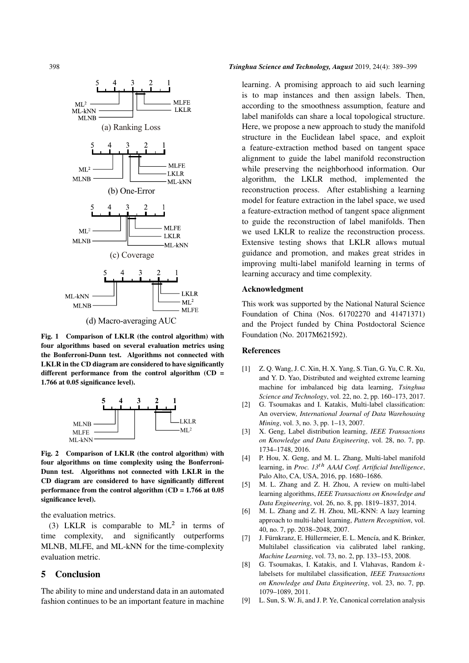

(d) Macro-averaging AUC

Fig. 1 Comparison of LKLR (the control algorithm) with four algorithms based on several evaluation metrics using the Bonferroni-Dunn test. Algorithms not connected with LKLR in the CD diagram are considered to have significantly different performance from the control algorithm  $(CD =$ 1.766 at 0.05 significance level).



Fig. 2 Comparison of LKLR (the control algorithm) with four algorithms on time complexity using the Bonferroni-Dunn test. Algorithms not connected with LKLR in the CD diagram are considered to have significantly different performance from the control algorithm  $(CD = 1.766$  at 0.05 significance level).

the evaluation metrics.

(3) LKLR is comparable to  $ML^2$  in terms of time complexity, and significantly outperforms MLNB, MLFE, and ML-kNN for the time-complexity evaluation metric.

#### 5 Conclusion

The ability to mine and understand data in an automated fashion continues to be an important feature in machine

#### 398 *Tsinghua Science and Technology, August* 2019, 24(4): 389–399

learning. A promising approach to aid such learning is to map instances and then assign labels. Then, according to the smoothness assumption, feature and label manifolds can share a local topological structure. Here, we propose a new approach to study the manifold structure in the Euclidean label space, and exploit a feature-extraction method based on tangent space alignment to guide the label manifold reconstruction while preserving the neighborhood information. Our algorithm, the LKLR method, implemented the reconstruction process. After establishing a learning model for feature extraction in the label space, we used a feature-extraction method of tangent space alignment to guide the reconstruction of label manifolds. Then we used LKLR to realize the reconstruction process. Extensive testing shows that LKLR allows mutual guidance and promotion, and makes great strides in improving multi-label manifold learning in terms of learning accuracy and time complexity.

#### Acknowledgment

This work was supported by the National Natural Science Foundation of China (Nos. 61702270 and 41471371) and the Project funded by China Postdoctoral Science Foundation (No. 2017M621592).

#### **References**

- [1] Z. Q. Wang, J. C. Xin, H. X. Yang, S. Tian, G. Yu, C. R. Xu, and Y. D. Yao, Distributed and weighted extreme learning machine for imbalanced big data learning, *Tsinghua Science and Technology*, vol. 22, no. 2, pp. 160–173, 2017.
- [2] G. Tsoumakas and I. Katakis, Multi-label classification: An overview, *International Journal of Data Warehousing Mining*, vol. 3, no. 3, pp. 1–13, 2007.
- [3] X. Geng, Label distribution learning, *IEEE Transactions on Knowledge and Data Engineering*, vol. 28, no. 7, pp. 1734–1748, 2016.
- [4] P. Hou, X. Geng, and M. L. Zhang, Multi-label manifold learning, in *Proc. 13*th *AAAI Conf. Artificial Intelligence*, Palo Alto, CA, USA, 2016, pp. 1680–1686.
- [5] M. L. Zhang and Z. H. Zhou, A review on multi-label learning algorithms, *IEEE Transactions on Knowledge and Data Engineering*, vol. 26, no. 8, pp. 1819–1837, 2014.
- [6] M. L. Zhang and Z. H. Zhou, ML-KNN: A lazy learning approach to multi-label learning, *Pattern Recognition*, vol. 40, no. 7, pp. 2038–2048, 2007.
- [7] J. Fürnkranz, E. Hüllermeier, E. L. Mencía, and K. Brinker, Multilabel classification via calibrated label ranking, *Machine Learning*, vol. 73, no. 2, pp. 133–153, 2008.
- [8] G. Tsoumakas, I. Katakis, and I. Vlahavas, Random klabelsets for multilabel classification, *IEEE Transactions on Knowledge and Data Engineering*, vol. 23, no. 7, pp. 1079–1089, 2011.
- [9] L. Sun, S. W. Ji, and J. P. Ye, Canonical correlation analysis